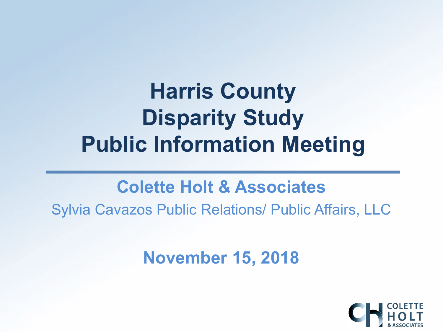# **Harris County Disparity Study Public Information Meeting**

#### **Colette Holt & Associates**

Sylvia Cavazos Public Relations/ Public Affairs, LLC

**November 15, 2018**

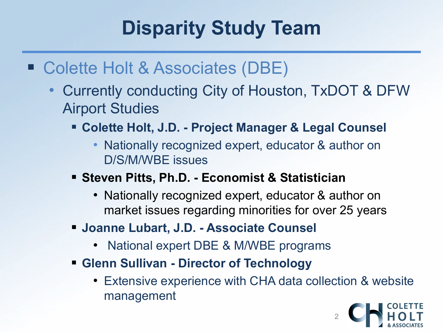## **Disparity Study Team**

- Colette Holt & Associates (DBE)
	- Currently conducting City of Houston, TxDOT & DFW Airport Studies
		- **Colette Holt, J.D. - Project Manager & Legal Counsel**
			- Nationally recognized expert, educator & author on D/S/M/WBE issues
		- **Steven Pitts, Ph.D. - Economist & Statistician**
			- Nationally recognized expert, educator & author on market issues regarding minorities for over 25 years
		- **Joanne Lubart, J.D. - Associate Counsel**
			- National expert DBE & M/WBE programs
		- **Glenn Sullivan - Director of Technology**
			- Extensive experience with CHA data collection & website management

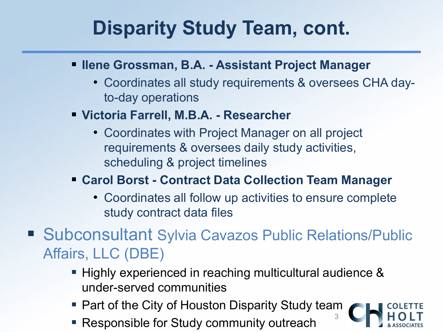#### **Disparity Study Team, cont.**

- **Ilene Grossman, B.A. - Assistant Project Manager**
	- Coordinates all study requirements & oversees CHA dayto-day operations
- **Victoria Farrell, M.B.A. - Researcher**
	- Coordinates with Project Manager on all project requirements & oversees daily study activities, scheduling & project timelines

#### **Carol Borst - Contract Data Collection Team Manager**

- Coordinates all follow up activities to ensure complete study contract data files
- Subconsultant Sylvia Cavazos Public Relations/Public Affairs, LLC (DBE)
	- **Highly experienced in reaching multicultural audience &** under-served communities
	- Part of the City of Houston Disparity Study team
	- **Responsible for Study community outreach**

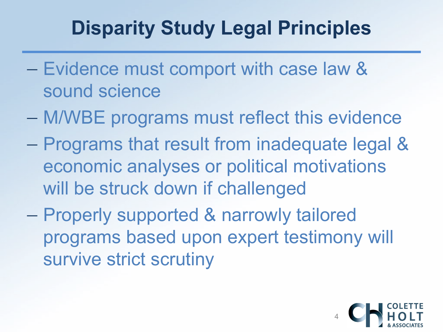#### **Disparity Study Legal Principles**

- − Evidence must comport with case law & sound science
- − M/WBE programs must reflect this evidence
- − Programs that result from inadequate legal & economic analyses or political motivations will be struck down if challenged
- − Properly supported & narrowly tailored programs based upon expert testimony will survive strict scrutiny

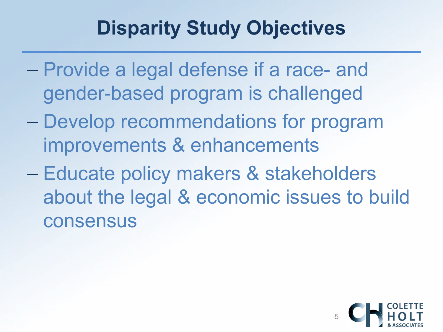#### **Disparity Study Objectives**

- − Provide a legal defense if a race- and gender-based program is challenged
- − Develop recommendations for program improvements & enhancements
- − Educate policy makers & stakeholders about the legal & economic issues to build consensus

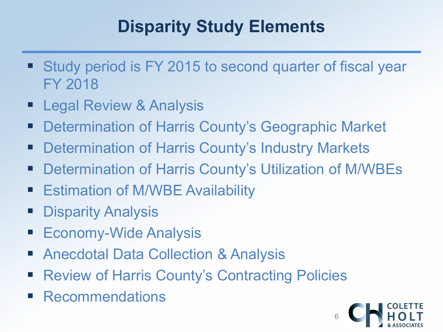#### **Disparity Study Elements**

- **Study period is FY 2015 to second quarter of fiscal year** FY 2018
- Legal Review & Analysis
- **Determination of Harris County's Geographic Market**
- **Determination of Harris County's Industry Markets**
- Determination of Harris County's Utilization of M/WBEs
- **Eigmation of M/WBE Availability**
- **Disparity Analysis**
- Economy-Wide Analysis
- Anecdotal Data Collection & Analysis
- Review of Harris County's Contracting Policies
- Recommendations

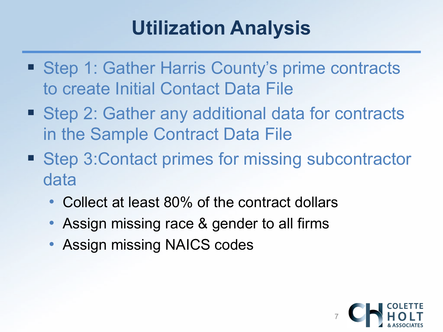#### **Utilization Analysis**

- Step 1: Gather Harris County's prime contracts to create Initial Contact Data File
- Step 2: Gather any additional data for contracts in the Sample Contract Data File
- Step 3: Contact primes for missing subcontractor data
	- Collect at least 80% of the contract dollars
	- Assign missing race & gender to all firms
	- Assign missing NAICS codes

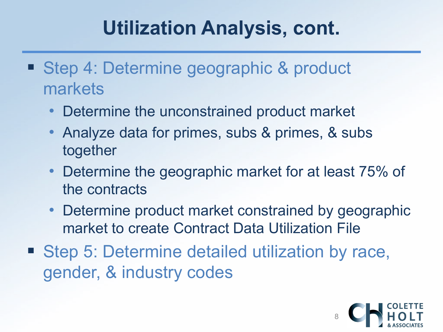#### **Utilization Analysis, cont.**

- Step 4: Determine geographic & product markets
	- Determine the unconstrained product market
	- Analyze data for primes, subs & primes, & subs together
	- Determine the geographic market for at least 75% of the contracts
	- Determine product market constrained by geographic market to create Contract Data Utilization File
- Step 5: Determine detailed utilization by race, gender, & industry codes

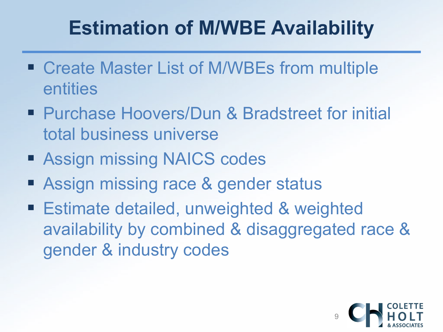## **Estimation of M/WBE Availability**

- Create Master List of M/WBEs from multiple entities
- Purchase Hoovers/Dun & Bradstreet for initial total business universe
- Assign missing NAICS codes
- **Assign missing race & gender status**
- Estimate detailed, unweighted & weighted availability by combined & disaggregated race & gender & industry codes

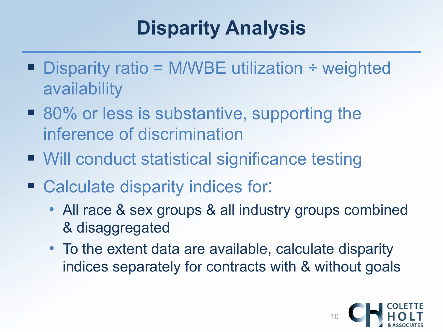#### **Disparity Analysis**

- Disparity ratio = M/WBE utilization ÷ weighted availability
- 80% or less is substantive, supporting the inference of discrimination
- Will conduct statistical significance testing
- Calculate disparity indices for:
	- All race & sex groups & all industry groups combined & disaggregated
	- To the extent data are available, calculate disparity indices separately for contracts with & without goals

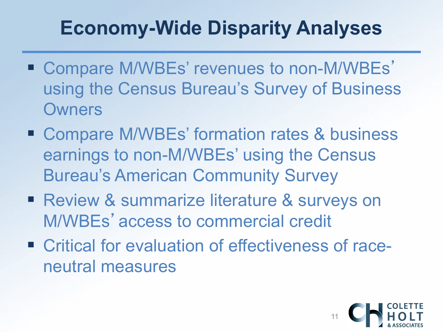#### **Economy-Wide Disparity Analyses**

- Compare M/WBEs' revenues to non-M/WBEs' using the Census Bureau's Survey of Business **Owners**
- Compare M/WBEs' formation rates & business earnings to non-M/WBEs' using the Census Bureau's American Community Survey
- **Review & summarize literature & surveys on** M/WBEs'access to commercial credit
- Critical for evaluation of effectiveness of raceneutral measures

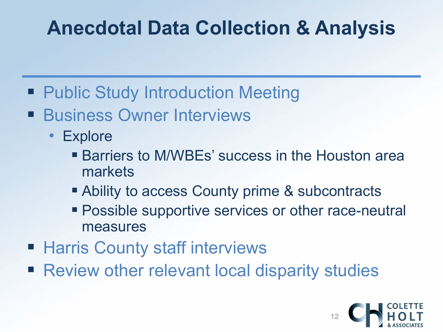#### **Anecdotal Data Collection & Analysis**

- Public Study Introduction Meeting
- **Business Owner Interviews** 
	- Explore
		- Barriers to M/WBEs' success in the Houston area markets
		- Ability to access County prime & subcontracts
		- **Possible supportive services or other race-neutral** measures
- **Harris County staff interviews**
- Review other relevant local disparity studies

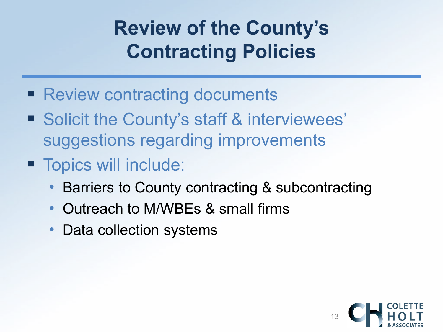#### **Review of the County's Contracting Policies**

- **Review contracting documents**
- Solicit the County's staff & interviewees' suggestions regarding improvements
- **Topics will include:** 
	- Barriers to County contracting & subcontracting
	- Outreach to M/WBEs & small firms
	- Data collection systems

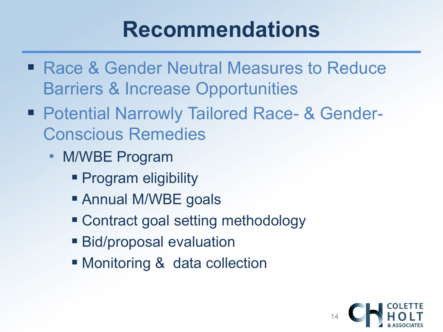## **Recommendations**

- Race & Gender Neutral Measures to Reduce Barriers & Increase Opportunities
- Potential Narrowly Tailored Race- & Gender-Conscious Remedies
	- M/WBE Program
		- **Program eligibility**
		- **Annual M/WBE goals**
		- Contract goal setting methodology
		- **Bid/proposal evaluation**
		- Monitoring & data collection

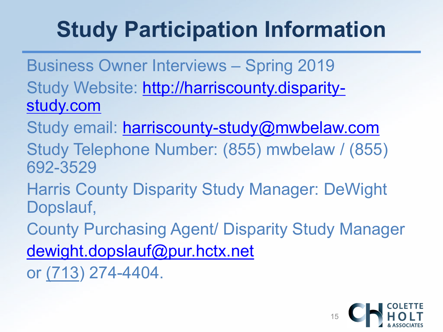# **Study Participation Information**

Business Owner Interviews – Spring 2019 [Study Website: http://harriscounty.disparity](http://harriscounty.disparity-study.com/)study.com

Study email: [harriscounty-study@mwbelaw.com](mailto:harriscounty-study@mwbelaw.com)

Study Telephone Number: (855) mwbelaw / (855) 692-3529

Harris County Disparity Study Manager: DeWight Dopslauf,

County Purchasing Agent/ Disparity Study Manager

[dewight.dopslauf@pur.hctx.net](mailto:dewight.dopslauf@pur.hctx.net)

or (713) 274-4404.